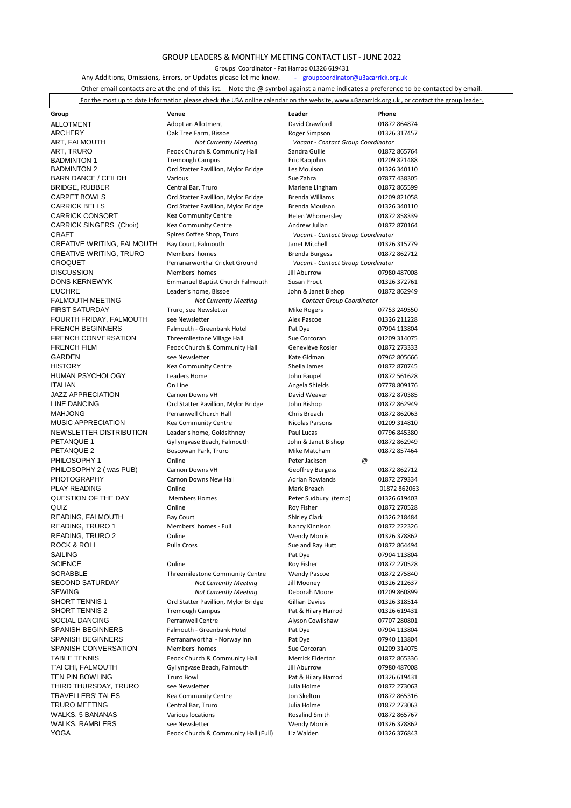## GROUP LEADERS & MONTHLY MEETING CONTACT LIST - JUNE 2022

Groups' Coordinator - Pat Harrod 01326 619431

[Any Additions, Omissions, E](mailto:groupcoordinator@u3acarrick.org.uk)rrors, or Updates please let me know. Franchoordinator@u3acarrick.org.uk

Other email contacts are at the end of this list. Note the @ symbol against a name indicates a preference to be contacted by email.

| i please check the U3A online<br>For the<br>leader.<br>. www.u3acarrick.org.uk<br>the website.<br>calendar on<br>or<br>to date<br>: contact<br>information<br>most<br>un<br>$gr$ nir |  |  |
|--------------------------------------------------------------------------------------------------------------------------------------------------------------------------------------|--|--|
|                                                                                                                                                                                      |  |  |

| Group                                            | Venue                                      | Leader                             | Phone                        |
|--------------------------------------------------|--------------------------------------------|------------------------------------|------------------------------|
| <b>ALLOTMENT</b>                                 | Adopt an Allotment                         | David Crawford                     | 01872 864874                 |
| <b>ARCHERY</b>                                   | Oak Tree Farm, Bissoe                      | Roger Simpson                      | 01326 317457                 |
| ART, FALMOUTH                                    | <b>Not Currently Meeting</b>               | Vacant - Contact Group Coordinator |                              |
| ART, TRURO                                       | Feock Church & Community Hall              | Sandra Guille                      | 01872 865764                 |
| <b>BADMINTON 1</b>                               | <b>Tremough Campus</b>                     | Eric Rabjohns                      | 01209 821488                 |
| <b>BADMINTON 2</b>                               | Ord Statter Pavillion, Mylor Bridge        | Les Moulson                        | 01326 340110                 |
| <b>BARN DANCE / CEILDH</b>                       | Various                                    | Sue Zahra                          | 07877 438305                 |
| <b>BRIDGE, RUBBER</b>                            | Central Bar, Truro                         | Marlene Lingham                    | 01872 865599                 |
| <b>CARPET BOWLS</b>                              | Ord Statter Pavillion, Mylor Bridge        | <b>Brenda Williams</b>             | 01209 821058                 |
| <b>CARRICK BELLS</b>                             | Ord Statter Pavillion, Mylor Bridge        | Brenda Moulson                     | 01326 340110                 |
| <b>CARRICK CONSORT</b>                           | <b>Kea Community Centre</b>                | Helen Whomersley                   | 01872 858339                 |
| <b>CARRICK SINGERS (Choir)</b>                   | <b>Kea Community Centre</b>                | Andrew Julian                      | 01872 870164                 |
| <b>CRAFT</b>                                     | Spires Coffee Shop, Truro                  | Vacant - Contact Group Coordinator |                              |
| CREATIVE WRITING, FALMOUTH                       | Bay Court, Falmouth                        | Janet Mitchell                     | 01326 315779                 |
| <b>CREATIVE WRITING, TRURO</b>                   | Members' homes                             | Brenda Burgess                     | 01872 862712                 |
| <b>CROQUET</b>                                   | Perranarworthal Cricket Ground             | Vacant - Contact Group Coordinator |                              |
| <b>DISCUSSION</b>                                | Members' homes                             | Jill Aburrow                       | 07980 487008                 |
| <b>DONS KERNEWYK</b>                             | <b>Emmanuel Baptist Church Falmouth</b>    | Susan Prout                        | 01326 372761                 |
| <b>EUCHRE</b>                                    | Leader's home, Bissoe                      | John & Janet Bishop                | 01872 862949                 |
| <b>FALMOUTH MEETING</b>                          | <b>Not Currently Meeting</b>               | <b>Contact Group Coordinator</b>   |                              |
| <b>FIRST SATURDAY</b><br>FOURTH FRIDAY, FALMOUTH | Truro, see Newsletter<br>see Newsletter    | <b>Mike Rogers</b><br>Alex Pascoe  | 07753 249550<br>01326 211228 |
| <b>FRENCH BEGINNERS</b>                          | Falmouth - Greenbank Hotel                 | Pat Dye                            | 07904 113804                 |
| <b>FRENCH CONVERSATION</b>                       | Threemilestone Village Hall                | Sue Corcoran                       | 01209 314075                 |
| <b>FRENCH FILM</b>                               | Feock Church & Community Hall              | Geneviève Rosier                   | 01872 273333                 |
| GARDEN                                           | see Newsletter                             | Kate Gidman                        | 07962 805666                 |
| <b>HISTORY</b>                                   | <b>Kea Community Centre</b>                | Sheila James                       | 01872 870745                 |
| <b>HUMAN PSYCHOLOGY</b>                          | <b>Leaders Home</b>                        | John Faupel                        | 01872 561628                 |
| <b>ITALIAN</b>                                   | On Line                                    | Angela Shields                     | 07778 809176                 |
| <b>JAZZ APPRECIATION</b>                         | Carnon Downs VH                            | David Weaver                       | 01872 870385                 |
| <b>LINE DANCING</b>                              | Ord Statter Pavillion, Mylor Bridge        | John Bishop                        | 01872 862949                 |
| <b>MAHJONG</b>                                   | Perranwell Church Hall                     | Chris Breach                       | 01872 862063                 |
| <b>MUSIC APPRECIATION</b>                        | <b>Kea Community Centre</b>                | Nicolas Parsons                    | 01209 314810                 |
| NEWSLETTER DISTRIBUTION                          | Leader's home, Goldsithney                 | Paul Lucas                         | 07796 845380                 |
| PETANQUE 1                                       | Gyllyngvase Beach, Falmouth                | John & Janet Bishop                | 01872 862949                 |
| PETANQUE 2                                       | Boscowan Park, Truro                       | Mike Matcham                       | 01872 857464                 |
| PHILOSOPHY 1                                     | Online                                     | Peter Jackson<br>@                 |                              |
| PHILOSOPHY 2 (was PUB)                           | Carnon Downs VH                            | <b>Geoffrey Burgess</b>            | 01872 862712                 |
| <b>PHOTOGRAPHY</b>                               | Carnon Downs New Hall                      | <b>Adrian Rowlands</b>             | 01872 279334                 |
| <b>PLAY READING</b>                              | Online                                     | Mark Breach                        | 01872 862063                 |
| QUESTION OF THE DAY                              | <b>Members Homes</b>                       | Peter Sudbury (temp)               | 01326 619403                 |
| QUIZ                                             | Online                                     | <b>Roy Fisher</b>                  | 01872 270528                 |
| READING, FALMOUTH                                | <b>Bay Court</b>                           | <b>Shirley Clark</b>               | 01326 218484                 |
| READING, TRURO 1                                 | Members' homes - Full                      | Nancy Kinnison                     | 01872 222326                 |
| READING, TRURO 2                                 | Online                                     | <b>Wendy Morris</b>                | 01326 378862                 |
| ROCK & ROLL                                      | Pulla Cross                                | Sue and Ray Hutt                   | 01872 864494                 |
| <b>SAILING</b>                                   |                                            | Pat Dye                            | 07904 113804                 |
| <b>SCIENCE</b>                                   | Online                                     | Roy Fisher                         | 01872 270528                 |
| <b>SCRABBLE</b>                                  | <b>Threemilestone Community Centre</b>     | <b>Wendy Pascoe</b>                | 01872 275840                 |
| <b>SECOND SATURDAY</b>                           | <b>Not Currently Meeting</b>               | Jill Mooney                        | 01326 212637                 |
| <b>SEWING</b>                                    | <b>Not Currently Meeting</b>               | Deborah Moore                      | 01209 860899                 |
| SHORT TENNIS 1                                   | Ord Statter Pavillion, Mylor Bridge        | <b>Gillian Davies</b>              | 01326 318514                 |
| SHORT TENNIS 2                                   | <b>Tremough Campus</b>                     | Pat & Hilary Harrod                | 01326 619431                 |
| <b>SOCIAL DANCING</b>                            | <b>Perranwell Centre</b>                   | Alyson Cowlishaw                   | 07707 280801                 |
| <b>SPANISH BEGINNERS</b>                         | Falmouth - Greenbank Hotel                 | Pat Dye                            | 07904 113804                 |
| <b>SPANISH BEGINNERS</b>                         | Perranarworthal - Norway Inn               | Pat Dye                            | 07940 113804                 |
| SPANISH CONVERSATION                             | Members' homes                             | Sue Corcoran                       | 01209 314075                 |
| <b>TABLE TENNIS</b>                              | Feock Church & Community Hall              | <b>Merrick Elderton</b>            | 01872 865336                 |
| T'AI CHI, FALMOUTH                               | Gyllyngvase Beach, Falmouth                | Jill Aburrow                       | 07980 487008                 |
| TEN PIN BOWLING                                  | <b>Truro Bowl</b>                          | Pat & Hilary Harrod                | 01326 619431                 |
| THIRD THURSDAY, TRURO                            | see Newsletter                             | Julia Holme                        | 01872 273063                 |
| <b>TRAVELLERS' TALES</b><br><b>TRURO MEETING</b> | Kea Community Centre<br>Central Bar, Truro | Jon Skelton<br>Julia Holme         | 01872 865316<br>01872 273063 |
| WALKS, 5 BANANAS                                 | Various locations                          | Rosalind Smith                     | 01872 865767                 |
| WALKS, RAMBLERS                                  | see Newsletter                             | <b>Wendy Morris</b>                | 01326 378862                 |
| <b>YOGA</b>                                      | Feock Church & Community Hall (Full)       | Liz Walden                         | 01326 376843                 |
|                                                  |                                            |                                    |                              |